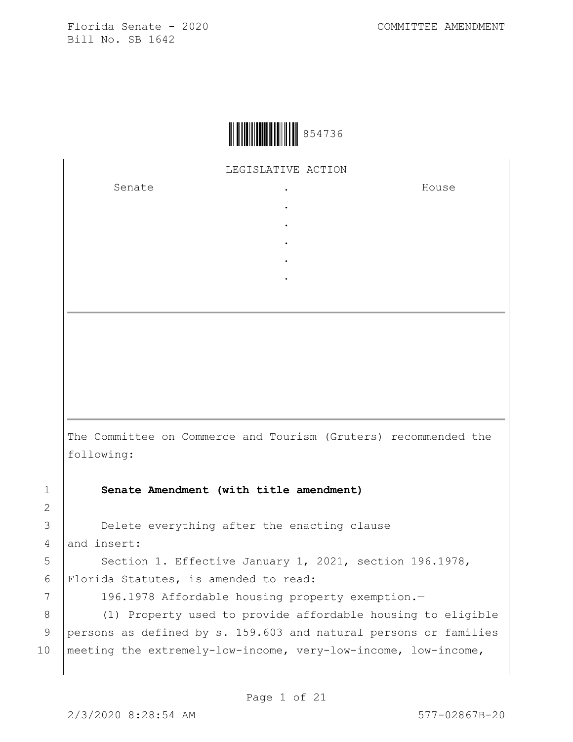

LEGISLATIVE ACTION

. . . . .

Senate .

House

The Committee on Commerce and Tourism (Gruters) recommended the following:

1 **Senate Amendment (with title amendment)**

3 Delete everything after the enacting clause 4 and insert:

5 | Section 1. Effective January 1, 2021, section 196.1978, 6 Florida Statutes, is amended to read:

7 | 196.1978 Affordable housing property exemption.-

8 (1) Property used to provide affordable housing to eligible 9 persons as defined by s. 159.603 and natural persons or families 10 meeting the extremely-low-income, very-low-income, low-income,

2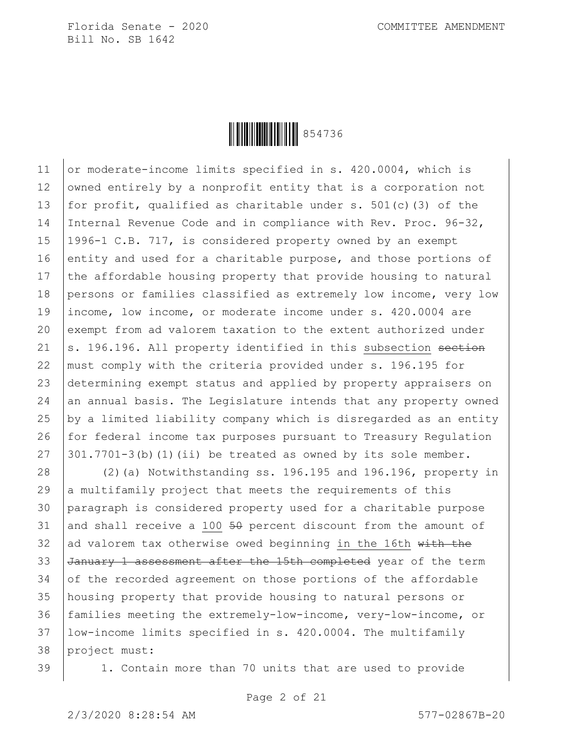

11 or moderate-income limits specified in s. 420.0004, which is 12 | owned entirely by a nonprofit entity that is a corporation not 13 | for profit, qualified as charitable under s.  $501(c)$  (3) of the 14 Internal Revenue Code and in compliance with Rev. Proc. 96-32, 15 1996-1 C.B. 717, is considered property owned by an exempt 16 entity and used for a charitable purpose, and those portions of 17 the affordable housing property that provide housing to natural 18 persons or families classified as extremely low income, very low 19 income, low income, or moderate income under s. 420.0004 are 20 exempt from ad valorem taxation to the extent authorized under 21 |s. 196.196. All property identified in this subsection section 22 | must comply with the criteria provided under s. 196.195 for 23 determining exempt status and applied by property appraisers on  $24$  an annual basis. The Legislature intends that any property owned 25  $\vert$  by a limited liability company which is disregarded as an entity 26 for federal income tax purposes pursuant to Treasury Regulation 27  $\vert$  301.7701-3(b)(1)(ii) be treated as owned by its sole member.

 (2)(a) Notwithstanding ss. 196.195 and 196.196, property in  $\vert$  a multifamily project that meets the requirements of this paragraph is considered property used for a charitable purpose 31 and shall receive a 100  $50$  percent discount from the amount of 32 ad valorem tax otherwise owed beginning in the 16th with the 33 January 1 assessment after the 15th completed year of the term 34 of the recorded agreement on those portions of the affordable housing property that provide housing to natural persons or families meeting the extremely-low-income, very-low-income, or low-income limits specified in s. 420.0004. The multifamily project must:

39 1. Contain more than 70 units that are used to provide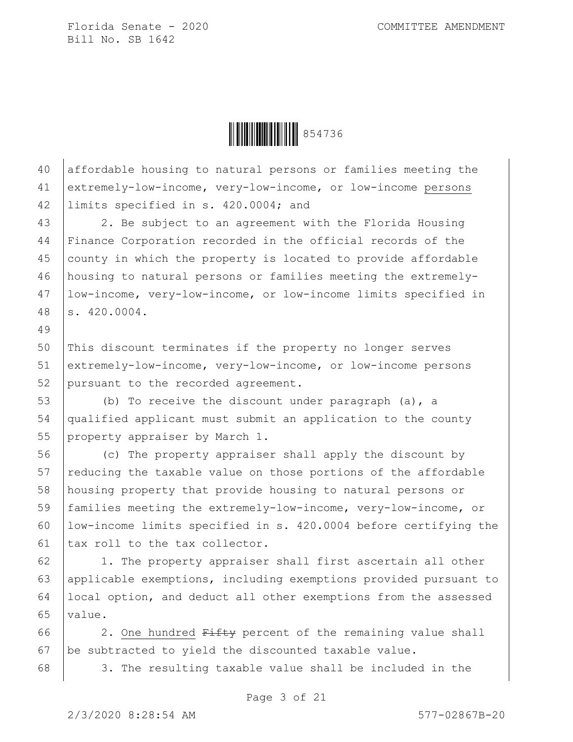

 affordable housing to natural persons or families meeting the extremely-low-income, very-low-income, or low-income persons limits specified in s. 420.0004; and

43 | 2. Be subject to an agreement with the Florida Housing Finance Corporation recorded in the official records of the county in which the property is located to provide affordable housing to natural persons or families meeting the extremely- low-income, very-low-income, or low-income limits specified in s. 420.0004.

 This discount terminates if the property no longer serves extremely-low-income, very-low-income, or low-income persons 52 pursuant to the recorded agreement.

 (b) To receive the discount under paragraph (a), a qualified applicant must submit an application to the county 55 property appraiser by March 1.

 (c) The property appraiser shall apply the discount by 57 reducing the taxable value on those portions of the affordable housing property that provide housing to natural persons or families meeting the extremely-low-income, very-low-income, or low-income limits specified in s. 420.0004 before certifying the 61 | tax roll to the tax collector.

62 | 1. The property appraiser shall first ascertain all other applicable exemptions, including exemptions provided pursuant to local option, and deduct all other exemptions from the assessed value.

66  $\vert$  2. One hundred  $F$ ifty percent of the remaining value shall be subtracted to yield the discounted taxable value.

3. The resulting taxable value shall be included in the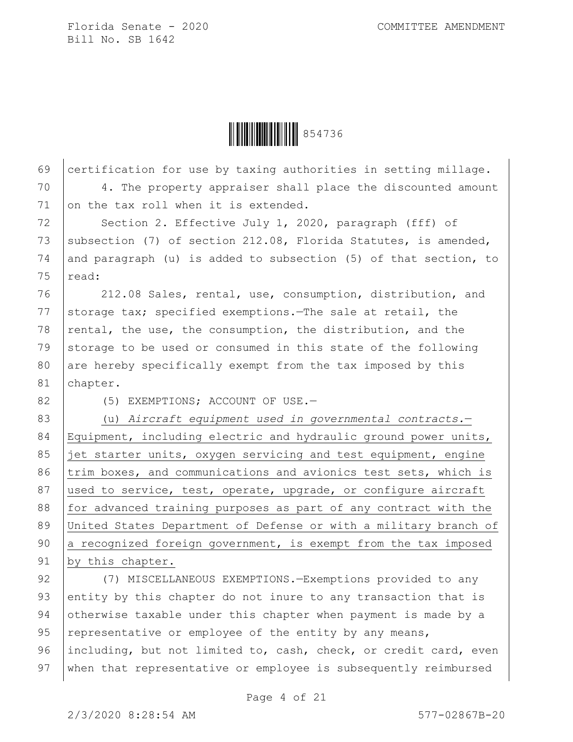Ì854736BÎ854736

| 69 | certification for use by taxing authorities in setting millage.  |
|----|------------------------------------------------------------------|
| 70 | 4. The property appraiser shall place the discounted amount      |
| 71 | on the tax roll when it is extended.                             |
| 72 | Section 2. Effective July 1, 2020, paragraph (fff) of            |
| 73 | subsection (7) of section 212.08, Florida Statutes, is amended,  |
| 74 | and paragraph (u) is added to subsection (5) of that section, to |
| 75 | read:                                                            |
| 76 | 212.08 Sales, rental, use, consumption, distribution, and        |
| 77 | storage tax; specified exemptions. The sale at retail, the       |
| 78 | rental, the use, the consumption, the distribution, and the      |
| 79 | storage to be used or consumed in this state of the following    |
| 80 | are hereby specifically exempt from the tax imposed by this      |
| 81 | chapter.                                                         |
| 82 | (5) EXEMPTIONS; ACCOUNT OF USE.-                                 |
| 83 | (u) Aircraft equipment used in governmental contracts.-          |
| 84 | Equipment, including electric and hydraulic ground power units,  |
| 85 | jet starter units, oxygen servicing and test equipment, engine   |
| 86 | trim boxes, and communications and avionics test sets, which is  |
| 87 | used to service, test, operate, upgrade, or configure aircraft   |
| 88 | for advanced training purposes as part of any contract with the  |
| 89 | United States Department of Defense or with a military branch of |
| 90 | a recognized foreign government, is exempt from the tax imposed  |
| 91 | by this chapter.                                                 |
| 92 | (7) MISCELLANEOUS EXEMPTIONS. - Exemptions provided to any       |
| 93 | entity by this chapter do not inure to any transaction that is   |
| 94 | otherwise taxable under this chapter when payment is made by a   |
| 95 | representative or employee of the entity by any means,           |
| 96 | including, but not limited to, cash, check, or credit card, even |
| 97 | when that representative or employee is subsequently reimbursed  |
|    |                                                                  |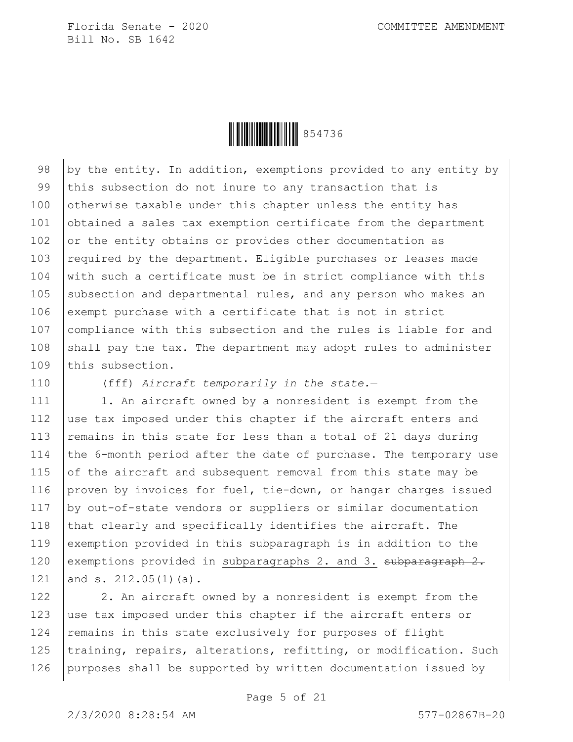

98  $\vert$  by the entity. In addition, exemptions provided to any entity by 99 this subsection do not inure to any transaction that is 100 otherwise taxable under this chapter unless the entity has 101 obtained a sales tax exemption certificate from the department 102 or the entity obtains or provides other documentation as 103  $\vert$  required by the department. Eligible purchases or leases made 104  $\vert$  with such a certificate must be in strict compliance with this 105 subsection and departmental rules, and any person who makes an 106 exempt purchase with a certificate that is not in strict 107 compliance with this subsection and the rules is liable for and 108 shall pay the tax. The department may adopt rules to administer 109 this subsection.

110 (fff) *Aircraft temporarily in the state.*—

111 | 1. An aircraft owned by a nonresident is exempt from the 112 use tax imposed under this chapter if the aircraft enters and 113 | remains in this state for less than a total of 21 days during 114 the 6-month period after the date of purchase. The temporary use 115 of the aircraft and subsequent removal from this state may be 116 proven by invoices for fuel, tie-down, or hangar charges issued 117 by out-of-state vendors or suppliers or similar documentation 118  $\vert$  that clearly and specifically identifies the aircraft. The 119 exemption provided in this subparagraph is in addition to the 120 exemptions provided in subparagraphs 2. and 3. subparagraph 2. 121 and s. 212.05 $(1)(a)$ .

122 2. An aircraft owned by a nonresident is exempt from the 123 use tax imposed under this chapter if the aircraft enters or 124 remains in this state exclusively for purposes of flight 125 training, repairs, alterations, refitting, or modification. Such 126 purposes shall be supported by written documentation issued by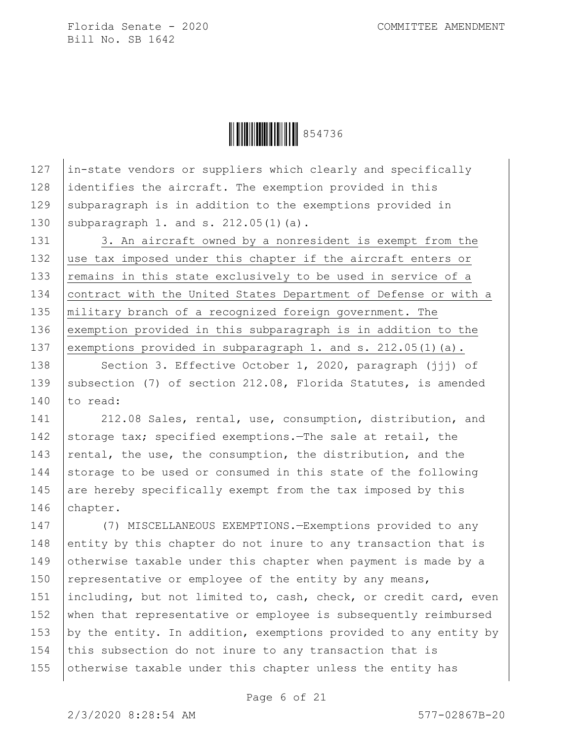**HEREBY** 854736

127 in-state vendors or suppliers which clearly and specifically 128 identifies the aircraft. The exemption provided in this 129 subparagraph is in addition to the exemptions provided in 130 subparagraph 1. and s.  $212.05(1)(a)$ .

131 3. An aircraft owned by a nonresident is exempt from the 132 use tax imposed under this chapter if the aircraft enters or 133 remains in this state exclusively to be used in service of a 134 contract with the United States Department of Defense or with a 135 military branch of a recognized foreign government. The 136 exemption provided in this subparagraph is in addition to the 137 exemptions provided in subparagraph 1. and s. 212.05(1)(a).

138 | Section 3. Effective October 1, 2020, paragraph (jjj) of 139 Subsection (7) of section 212.08, Florida Statutes, is amended 140  $\vert$  to read:

141 | 212.08 Sales, rental, use, consumption, distribution, and 142 storage tax; specified exemptions.—The sale at retail, the 143  $|$  rental, the use, the consumption, the distribution, and the 144 storage to be used or consumed in this state of the following 145 are hereby specifically exempt from the tax imposed by this 146 | chapter.

147 (7) MISCELLANEOUS EXEMPTIONS.—Exemptions provided to any 148 entity by this chapter do not inure to any transaction that is 149 otherwise taxable under this chapter when payment is made by a 150 representative or employee of the entity by any means, 151 | including, but not limited to, cash, check, or credit card, even 152 when that representative or employee is subsequently reimbursed 153 by the entity. In addition, exemptions provided to any entity by 154 this subsection do not inure to any transaction that is 155 otherwise taxable under this chapter unless the entity has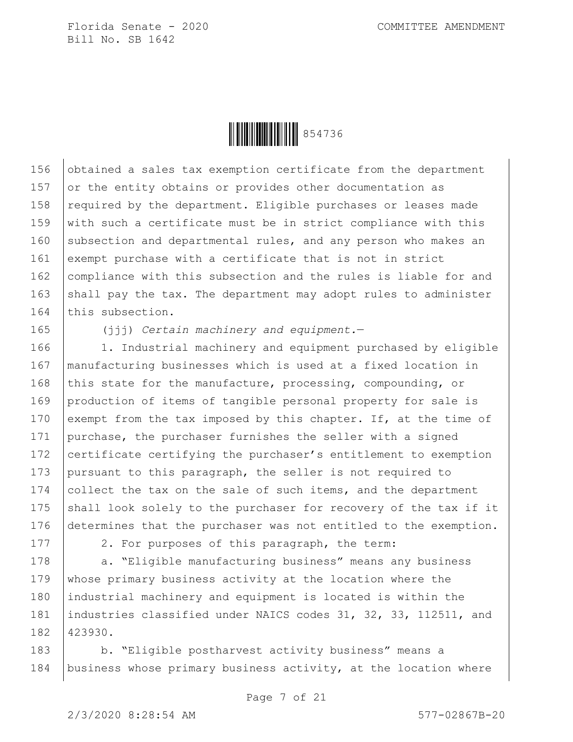

156  $\vert$  obtained a sales tax exemption certificate from the department 157  $\sigma$  or the entity obtains or provides other documentation as 158 required by the department. Eligible purchases or leases made 159  $\vert$  with such a certificate must be in strict compliance with this 160 subsection and departmental rules, and any person who makes an 161 exempt purchase with a certificate that is not in strict 162 compliance with this subsection and the rules is liable for and 163 shall pay the tax. The department may adopt rules to administer 164 this subsection.

165 (jjj) *Certain machinery and equipment.*—

166 | 1. Industrial machinery and equipment purchased by eligible 167 manufacturing businesses which is used at a fixed location in 168 this state for the manufacture, processing, compounding, or 169 production of items of tangible personal property for sale is 170 exempt from the tax imposed by this chapter. If, at the time of 171 purchase, the purchaser furnishes the seller with a signed 172 certificate certifying the purchaser's entitlement to exemption 173 pursuant to this paragraph, the seller is not required to 174 collect the tax on the sale of such items, and the department 175 shall look solely to the purchaser for recovery of the tax if it 176 determines that the purchaser was not entitled to the exemption.

177 | 2. For purposes of this paragraph, the term:

178 | a. "Eligible manufacturing business" means any business 179 whose primary business activity at the location where the 180 industrial machinery and equipment is located is within the 181 industries classified under NAICS codes 31, 32, 33, 112511, and 182 423930.

183 b. "Eligible postharvest activity business" means a 184 business whose primary business activity, at the location where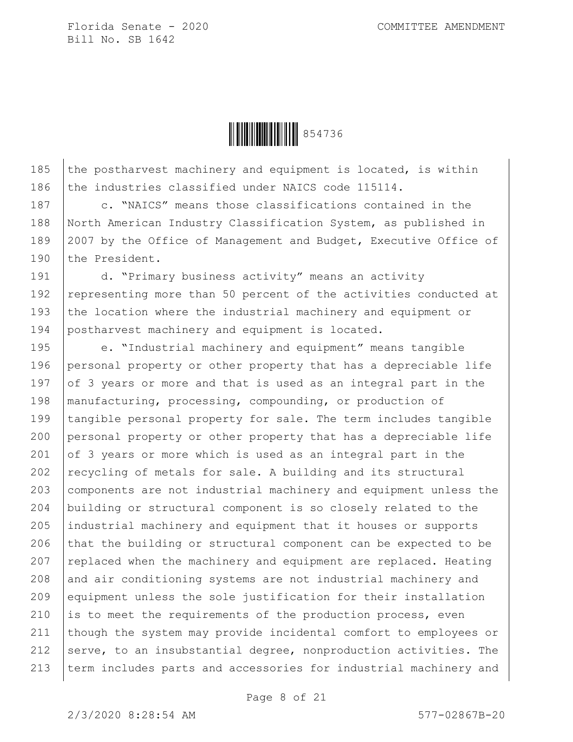

185 the postharvest machinery and equipment is located, is within 186 the industries classified under NAICS code 115114.

187 c. "NAICS" means those classifications contained in the 188 North American Industry Classification System, as published in 189 | 2007 by the Office of Management and Budget, Executive Office of 190 the President.

191 d. "Primary business activity" means an activity 192 representing more than 50 percent of the activities conducted at 193 the location where the industrial machinery and equipment or 194 postharvest machinery and equipment is located.

195 e. "Industrial machinery and equipment" means tangible 196 personal property or other property that has a depreciable life 197 of 3 years or more and that is used as an integral part in the 198 | manufacturing, processing, compounding, or production of 199 tangible personal property for sale. The term includes tangible 200 personal property or other property that has a depreciable life 201 of 3 years or more which is used as an integral part in the 202  $|$  recycling of metals for sale. A building and its structural 203 components are not industrial machinery and equipment unless the 204 building or structural component is so closely related to the 205 industrial machinery and equipment that it houses or supports 206 that the building or structural component can be expected to be 207  $|$  replaced when the machinery and equipment are replaced. Heating 208 and air conditioning systems are not industrial machinery and 209 equipment unless the sole justification for their installation 210 is to meet the requirements of the production process, even 211 though the system may provide incidental comfort to employees or 212  $|$  serve, to an insubstantial degree, nonproduction activities. The 213 term includes parts and accessories for industrial machinery and

Page 8 of 21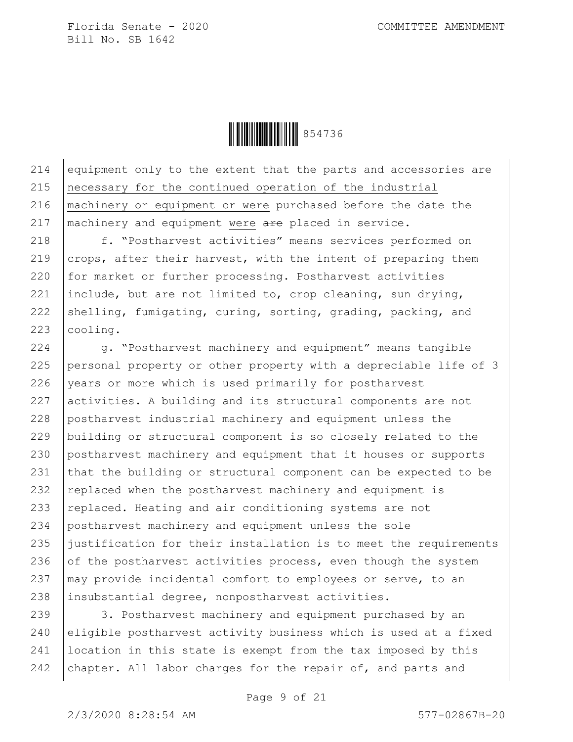

214 equipment only to the extent that the parts and accessories are necessary for the continued operation of the industrial machinery or equipment or were purchased before the date the  $\vert$  machinery and equipment were are placed in service.

218 | f. "Postharvest activities" means services performed on 219  $\vert$  crops, after their harvest, with the intent of preparing them 220 for market or further processing. Postharvest activities 221 include, but are not limited to, crop cleaning, sun drying, 222 shelling, fumigating, curing, sorting, grading, packing, and 223 | cooling.

224 g. "Postharvest machinery and equipment" means tangible 225 personal property or other property with a depreciable life of 3 226 vears or more which is used primarily for postharvest 227 activities. A building and its structural components are not 228 postharvest industrial machinery and equipment unless the 229 building or structural component is so closely related to the 230 postharvest machinery and equipment that it houses or supports 231 that the building or structural component can be expected to be 232 replaced when the postharvest machinery and equipment is 233 replaced. Heating and air conditioning systems are not 234 postharvest machinery and equipment unless the sole 235 justification for their installation is to meet the requirements 236 of the postharvest activities process, even though the system 237  $\vert$  may provide incidental comfort to employees or serve, to an 238 insubstantial degree, nonpostharvest activities.

239 3. Postharvest machinery and equipment purchased by an 240 eligible postharvest activity business which is used at a fixed 241 location in this state is exempt from the tax imposed by this 242 | chapter. All labor charges for the repair of, and parts and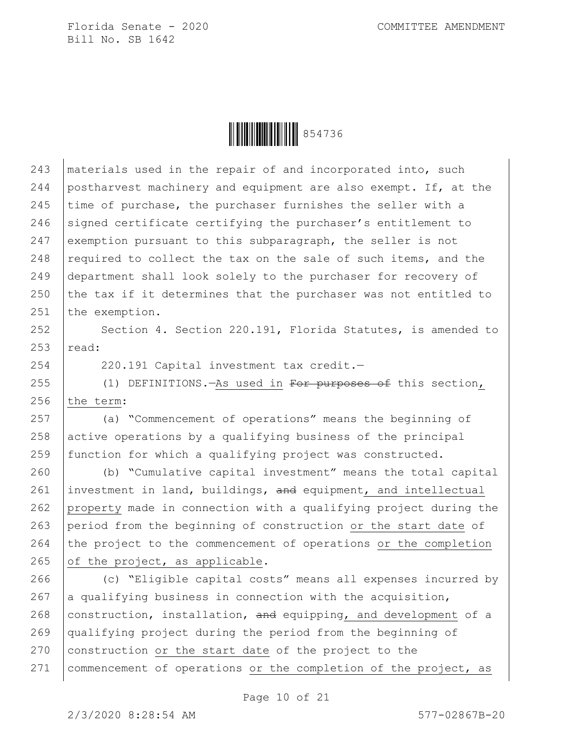

243 | materials used in the repair of and incorporated into, such 244 postharvest machinery and equipment are also exempt. If, at the 245 time of purchase, the purchaser furnishes the seller with a 246 signed certificate certifying the purchaser's entitlement to 247 exemption pursuant to this subparagraph, the seller is not 248 required to collect the tax on the sale of such items, and the 249 department shall look solely to the purchaser for recovery of 250 the tax if it determines that the purchaser was not entitled to 251 the exemption.

252 Section 4. Section 220.191, Florida Statutes, is amended to  $253$  read:

254 | 220.191 Capital investment tax credit.

255 (1) DEFINITIONS.—As used in For purposes of this section, 256  $the term:$ 

257 (a) "Commencement of operations" means the beginning of 258 active operations by a qualifying business of the principal 259 function for which a qualifying project was constructed.

260 (b) "Cumulative capital investment" means the total capital 261  $|$  investment in land, buildings, and equipment, and intellectual 262 property made in connection with a qualifying project during the 263 period from the beginning of construction or the start date of 264 the project to the commencement of operations or the completion 265 of the project, as applicable.

266 (c) "Eligible capital costs" means all expenses incurred by 267 a qualifying business in connection with the acquisition, 268 construction, installation, and equipping, and development of a 269 qualifying project during the period from the beginning of 270 construction or the start date of the project to the 271 | commencement of operations or the completion of the project, as

Page 10 of 21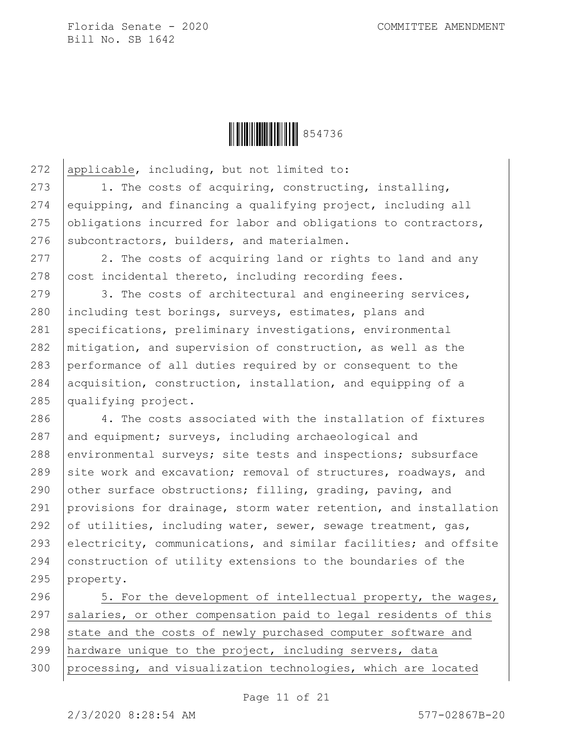

272 applicable, including, but not limited to:

273 1. The costs of acquiring, constructing, installing, 274 equipping, and financing a qualifying project, including all 275 obligations incurred for labor and obligations to contractors, 276 subcontractors, builders, and materialmen.

277 2. The costs of acquiring land or rights to land and any 278  $\vert$  cost incidental thereto, including recording fees.

279 3. The costs of architectural and engineering services, 280 including test borings, surveys, estimates, plans and 281 specifications, preliminary investigations, environmental 282 mitigation, and supervision of construction, as well as the 283 performance of all duties required by or consequent to the 284 acquisition, construction, installation, and equipping of a 285 qualifying project.

286 4. The costs associated with the installation of fixtures 287 and equipment; surveys, including archaeological and 288 environmental surveys; site tests and inspections; subsurface 289 site work and excavation; removal of structures, roadways, and 290 other surface obstructions; filling, grading, paving, and 291 provisions for drainage, storm water retention, and installation 292 of utilities, including water, sewer, sewage treatment, gas, 293 electricity, communications, and similar facilities; and offsite 294 construction of utility extensions to the boundaries of the 295 property.

296 3. For the development of intellectual property, the wages, 297  $|$  salaries, or other compensation paid to legal residents of this 298 state and the costs of newly purchased computer software and 299 hardware unique to the project, including servers, data 300 processing, and visualization technologies, which are located

2/3/2020 8:28:54 AM 577-02867B-20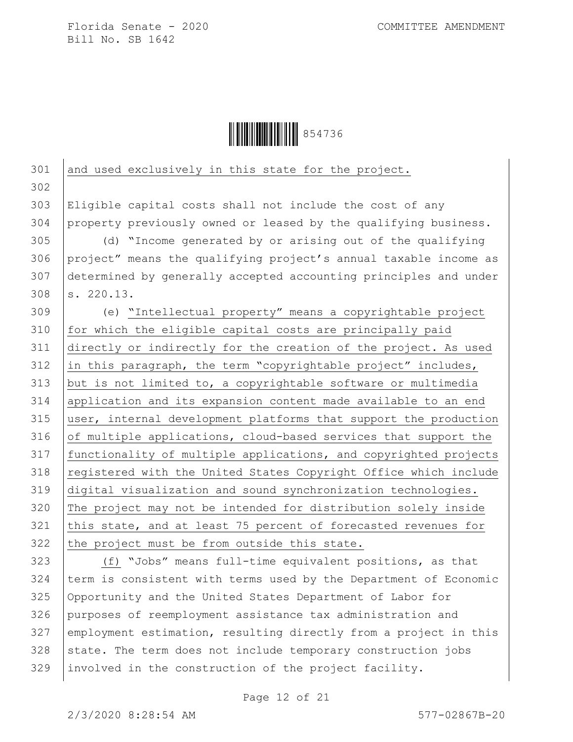

| 301 | and used exclusively in this state for the project.              |
|-----|------------------------------------------------------------------|
| 302 |                                                                  |
| 303 | Eligible capital costs shall not include the cost of any         |
| 304 | property previously owned or leased by the qualifying business.  |
| 305 | (d) "Income generated by or arising out of the qualifying        |
| 306 | project" means the qualifying project's annual taxable income as |
| 307 | determined by generally accepted accounting principles and under |
| 308 | s. 220.13.                                                       |
| 309 | (e) "Intellectual property" means a copyrightable project        |
| 310 | for which the eligible capital costs are principally paid        |
| 311 | directly or indirectly for the creation of the project. As used  |
| 312 | in this paragraph, the term "copyrightable project" includes,    |
| 313 | but is not limited to, a copyrightable software or multimedia    |
| 314 | application and its expansion content made available to an end   |
| 315 | user, internal development platforms that support the production |
| 316 | of multiple applications, cloud-based services that support the  |
| 317 | functionality of multiple applications, and copyrighted projects |
| 318 | registered with the United States Copyright Office which include |
| 319 | digital visualization and sound synchronization technologies.    |
| 320 | The project may not be intended for distribution solely inside   |
| 321 | this state, and at least 75 percent of forecasted revenues for   |
| 322 | the project must be from outside this state.                     |
| 323 | (f) "Jobs" means full-time equivalent positions, as that         |
| 324 | term is consistent with terms used by the Department of Economic |
| 325 | Opportunity and the United States Department of Labor for        |
| 326 | purposes of reemployment assistance tax administration and       |
| 327 | employment estimation, resulting directly from a project in this |
| 328 | state. The term does not include temporary construction jobs     |
| 329 | involved in the construction of the project facility.            |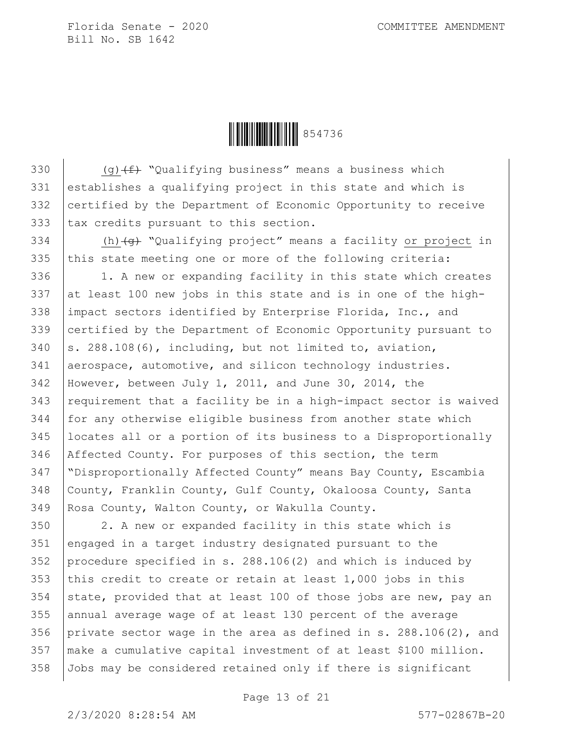

 $\left( \text{q}(f) + \text{q}(g) + \text{q}(g) + \text{q}(g) + \text{q}(g) + \text{q}(g) + \text{q}(g) + \text{q}(g) + \text{q}(g) + \text{q}(g) + \text{q}(g) + \text{q}(g) + \text{q}(g) + \text{q}(g) + \text{q}(g) + \text{q}(g) + \text{q}(g) + \text{q}(g) + \text{q}(g) + \text{q}(g) + \text{q}(g) + \text{q}(g) + \text{q}(g) + \text{q}(g) + \text{q}(g) + \text{q}(g) + \text{q}($  establishes a qualifying project in this state and which is 332 certified by the Department of Economic Opportunity to receive tax credits pursuant to this section.

334 (h) $\left\{\theta\right\}$  "Qualifying project" means a facility or project in 335 this state meeting one or more of the following criteria:

336 1. A new or expanding facility in this state which creates 337 at least 100 new jobs in this state and is in one of the high- impact sectors identified by Enterprise Florida, Inc., and certified by the Department of Economic Opportunity pursuant to  $\vert$  s. 288.108(6), including, but not limited to, aviation, 341 aerospace, automotive, and silicon technology industries. However, between July 1, 2011, and June 30, 2014, the requirement that a facility be in a high-impact sector is waived for any otherwise eligible business from another state which locates all or a portion of its business to a Disproportionally Affected County. For purposes of this section, the term "Disproportionally Affected County" means Bay County, Escambia County, Franklin County, Gulf County, Okaloosa County, Santa Rosa County, Walton County, or Wakulla County.

 2. A new or expanded facility in this state which is engaged in a target industry designated pursuant to the procedure specified in s. 288.106(2) and which is induced by 353 this credit to create or retain at least  $1,000$  jobs in this 354 state, provided that at least 100 of those jobs are new, pay an annual average wage of at least 130 percent of the average private sector wage in the area as defined in s. 288.106(2), and make a cumulative capital investment of at least \$100 million. Jobs may be considered retained only if there is significant

2/3/2020 8:28:54 AM 577-02867B-20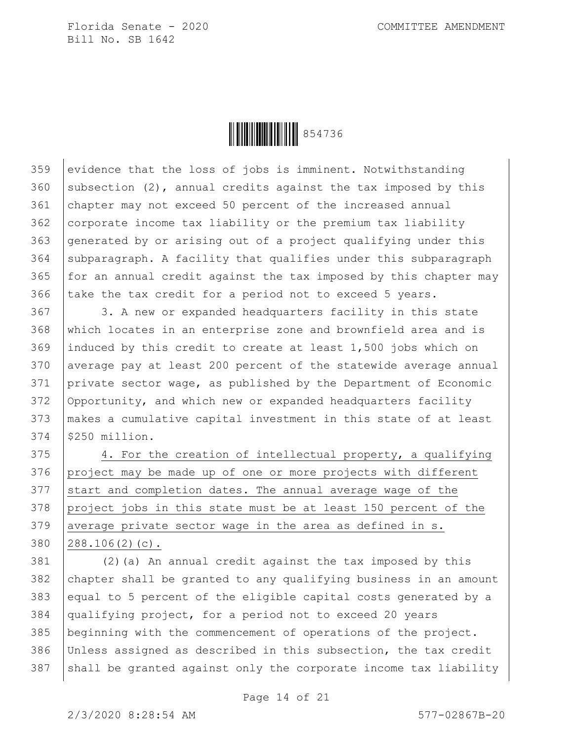

 evidence that the loss of jobs is imminent. Notwithstanding 360 subsection (2), annual credits against the tax imposed by this chapter may not exceed 50 percent of the increased annual corporate income tax liability or the premium tax liability generated by or arising out of a project qualifying under this subparagraph. A facility that qualifies under this subparagraph for an annual credit against the tax imposed by this chapter may 366 take the tax credit for a period not to exceed 5 years.

367 3. A new or expanded headquarters facility in this state which locates in an enterprise zone and brownfield area and is induced by this credit to create at least 1,500 jobs which on average pay at least 200 percent of the statewide average annual private sector wage, as published by the Department of Economic Opportunity, and which new or expanded headquarters facility makes a cumulative capital investment in this state of at least \$250 million.

375 4. For the creation of intellectual property, a qualifying 376 project may be made up of one or more projects with different start and completion dates. The annual average wage of the 378 project jobs in this state must be at least 150 percent of the 379 average private sector wage in the area as defined in s. 288.106(2)(c).

 (2)(a) An annual credit against the tax imposed by this 382 chapter shall be granted to any qualifying business in an amount equal to 5 percent of the eligible capital costs generated by a qualifying project, for a period not to exceed 20 years beginning with the commencement of operations of the project. Unless assigned as described in this subsection, the tax credit shall be granted against only the corporate income tax liability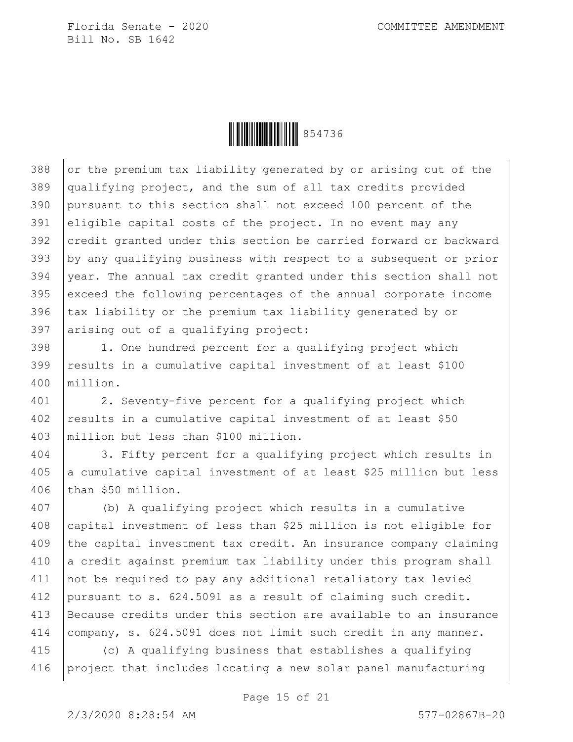

 or the premium tax liability generated by or arising out of the qualifying project, and the sum of all tax credits provided pursuant to this section shall not exceed 100 percent of the eligible capital costs of the project. In no event may any 392 credit granted under this section be carried forward or backward by any qualifying business with respect to a subsequent or prior year. The annual tax credit granted under this section shall not exceed the following percentages of the annual corporate income 396 tax liability or the premium tax liability generated by or arising out of a qualifying project:

398 | 1. One hundred percent for a qualifying project which results in a cumulative capital investment of at least \$100 million.

 2. Seventy-five percent for a qualifying project which 402 results in a cumulative capital investment of at least \$50 million but less than \$100 million.

 3. Fifty percent for a qualifying project which results in a cumulative capital investment of at least \$25 million but less than \$50 million.

 (b) A qualifying project which results in a cumulative 408 capital investment of less than \$25 million is not eligible for the capital investment tax credit. An insurance company claiming a credit against premium tax liability under this program shall 411 not be required to pay any additional retaliatory tax levied pursuant to s. 624.5091 as a result of claiming such credit. Because credits under this section are available to an insurance company, s. 624.5091 does not limit such credit in any manner.

 (c) A qualifying business that establishes a qualifying project that includes locating a new solar panel manufacturing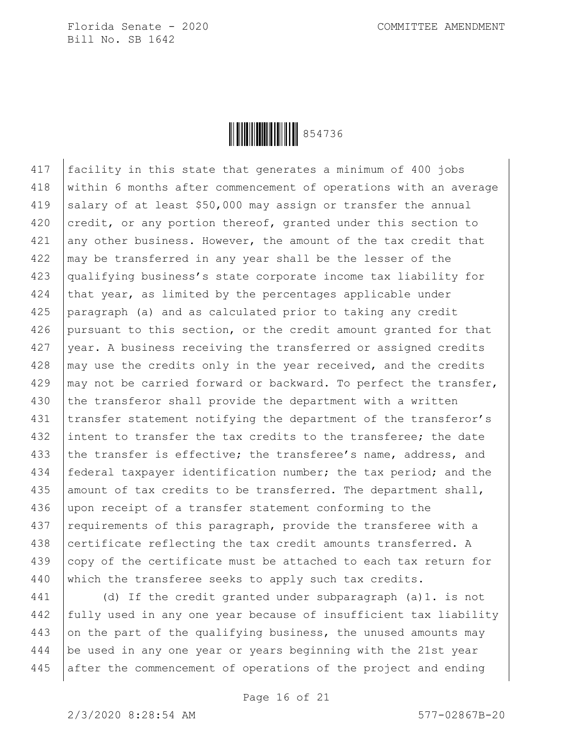

417 facility in this state that generates a minimum of 400 jobs 418 within 6 months after commencement of operations with an average 419 salary of at least  $$50,000$  may assign or transfer the annual 420  $|$  credit, or any portion thereof, granted under this section to  $421$  any other business. However, the amount of the tax credit that 422 may be transferred in any year shall be the lesser of the 423 qualifying business's state corporate income tax liability for 424 that year, as limited by the percentages applicable under 425 paragraph (a) and as calculated prior to taking any credit 426 pursuant to this section, or the credit amount granted for that 427 year. A business receiving the transferred or assigned credits  $428$   $\mid$  may use the credits only in the year received, and the credits 429  $\mid$  may not be carried forward or backward. To perfect the transfer, 430 the transferor shall provide the department with a written 431 transfer statement notifying the department of the transferor's 432 intent to transfer the tax credits to the transferee; the date 433 the transfer is effective; the transferee's name, address, and 434 | federal taxpayer identification number; the tax period; and the 435 amount of tax credits to be transferred. The department shall, 436 upon receipt of a transfer statement conforming to the 437 | requirements of this paragraph, provide the transferee with a 438 certificate reflecting the tax credit amounts transferred. A 439 copy of the certificate must be attached to each tax return for 440 which the transferee seeks to apply such tax credits.

441 (d) If the credit granted under subparagraph (a)1. is not 442 fully used in any one year because of insufficient tax liability 443 on the part of the qualifying business, the unused amounts may 444 be used in any one year or years beginning with the 21st year 445 after the commencement of operations of the project and ending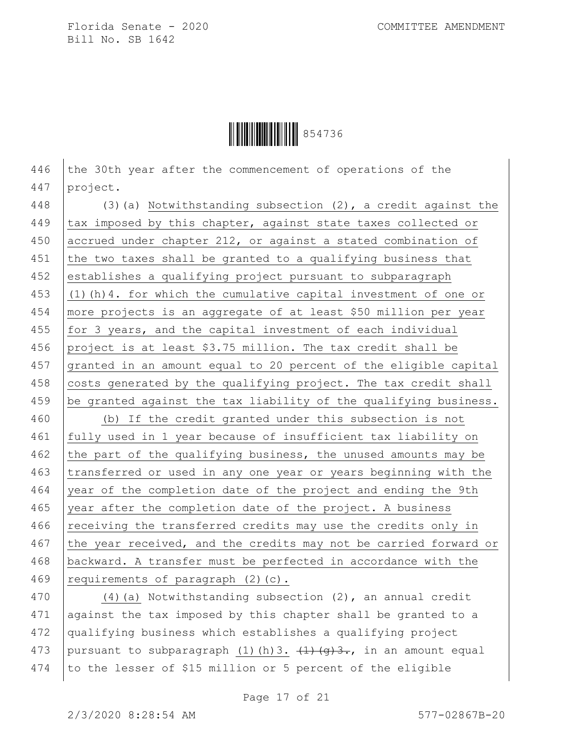Ì854736BÎ854736

446 the 30th year after the commencement of operations of the 447 project.

448 (3)(a) Notwithstanding subsection (2), a credit against the 449  $\vert$  tax imposed by this chapter, against state taxes collected or 450 accrued under chapter 212, or against a stated combination of 451 the two taxes shall be granted to a qualifying business that 452 establishes a qualifying project pursuant to subparagraph 453  $(1)(h)$ 4. for which the cumulative capital investment of one or 454 more projects is an aggregate of at least \$50 million per year 455  $for 3 years, and the capital investment of each individual$ 456 project is at least \$3.75 million. The tax credit shall be 457 granted in an amount equal to 20 percent of the eligible capital 458 costs generated by the qualifying project. The tax credit shall 459 be granted against the tax liability of the qualifying business. 460 (b) If the credit granted under this subsection is not 461 fully used in 1 year because of insufficient tax liability on 462 the part of the qualifying business, the unused amounts may be 463 transferred or used in any one year or years beginning with the 464 vear of the completion date of the project and ending the 9th 465 year after the completion date of the project. A business 466 receiving the transferred credits may use the credits only in 467 the year received, and the credits may not be carried forward or 468 backward. A transfer must be perfected in accordance with the 469 | requirements of paragraph  $(2)(c)$ .

470 (4)(a) Notwithstanding subsection (2), an annual credit 471 against the tax imposed by this chapter shall be granted to a 472 qualifying business which establishes a qualifying project 473 pursuant to subparagraph (1)(h)3.  $\left\{\frac{1}{q}\right\}$ , in an amount equal 474 to the lesser of \$15 million or 5 percent of the eligible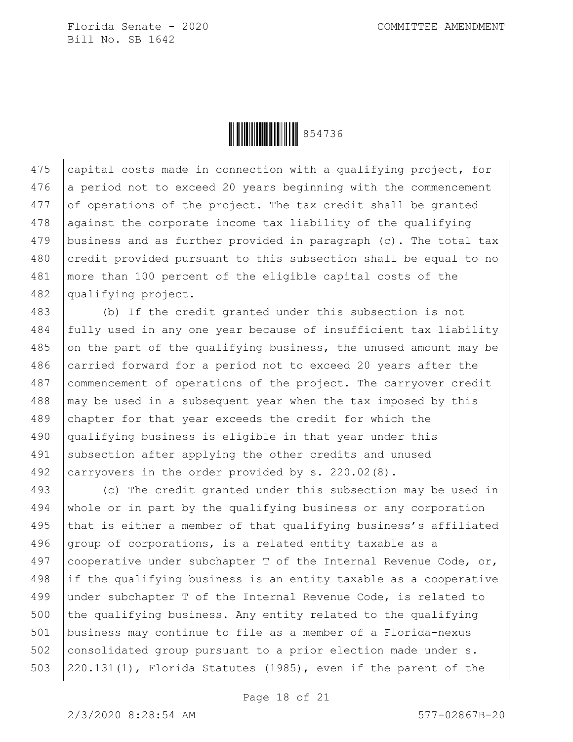

475 capital costs made in connection with a qualifying project, for 476 a period not to exceed 20 years beginning with the commencement of operations of the project. The tax credit shall be granted against the corporate income tax liability of the qualifying business and as further provided in paragraph (c). The total tax 480 credit provided pursuant to this subsection shall be equal to no more than 100 percent of the eligible capital costs of the qualifying project.

 (b) If the credit granted under this subsection is not fully used in any one year because of insufficient tax liability on the part of the qualifying business, the unused amount may be 486 carried forward for a period not to exceed 20 years after the commencement of operations of the project. The carryover credit | may be used in a subsequent year when the tax imposed by this chapter for that year exceeds the credit for which the qualifying business is eligible in that year under this 491 subsection after applying the other credits and unused 492 | carryovers in the order provided by s. 220.02(8).

 (c) The credit granted under this subsection may be used in whole or in part by the qualifying business or any corporation 495 that is either a member of that qualifying business's affiliated  $q$ roup of corporations, is a related entity taxable as a 497 cooperative under subchapter T of the Internal Revenue Code, or, if the qualifying business is an entity taxable as a cooperative under subchapter T of the Internal Revenue Code, is related to 500 the qualifying business. Any entity related to the qualifying business may continue to file as a member of a Florida-nexus consolidated group pursuant to a prior election made under s.  $\{220.131(1)$ , Florida Statutes (1985), even if the parent of the

Page 18 of 21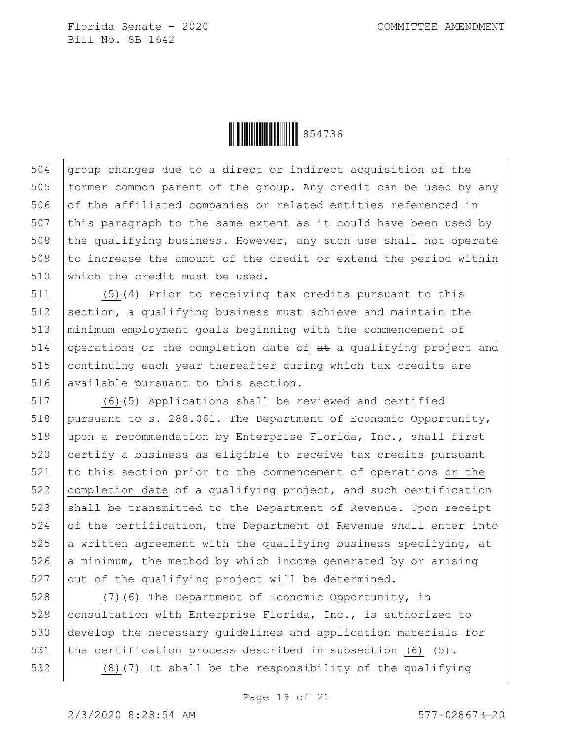

 $504$  group changes due to a direct or indirect acquisition of the 505 former common parent of the group. Any credit can be used by any 506 of the affiliated companies or related entities referenced in 507 this paragraph to the same extent as it could have been used by 508 the qualifying business. However, any such use shall not operate 509 to increase the amount of the credit or extend the period within 510 which the credit must be used.

511  $(5)(4)$  Prior to receiving tax credits pursuant to this 512 section, a qualifying business must achieve and maintain the 513 minimum employment goals beginning with the commencement of 514 operations or the completion date of  $a\text{+}$  a qualifying project and 515 continuing each year thereafter during which tax credits are 516 | available pursuant to this section.

 (6)  $\left(5\right)$  Applications shall be reviewed and certified pursuant to s. 288.061. The Department of Economic Opportunity, 519 | upon a recommendation by Enterprise Florida, Inc., shall first certify a business as eligible to receive tax credits pursuant to this section prior to the commencement of operations or the completion date of a qualifying project, and such certification shall be transmitted to the Department of Revenue. Upon receipt 524 of the certification, the Department of Revenue shall enter into 525 a written agreement with the qualifying business specifying, at  $\vert$  a minimum, the method by which income generated by or arising out of the qualifying project will be determined.

 $(7)$  (6) The Department of Economic Opportunity, in consultation with Enterprise Florida, Inc., is authorized to develop the necessary guidelines and application materials for 531 the certification process described in subsection (6)  $\left(5\right)$ .  $(8)$  (7) It shall be the responsibility of the qualifying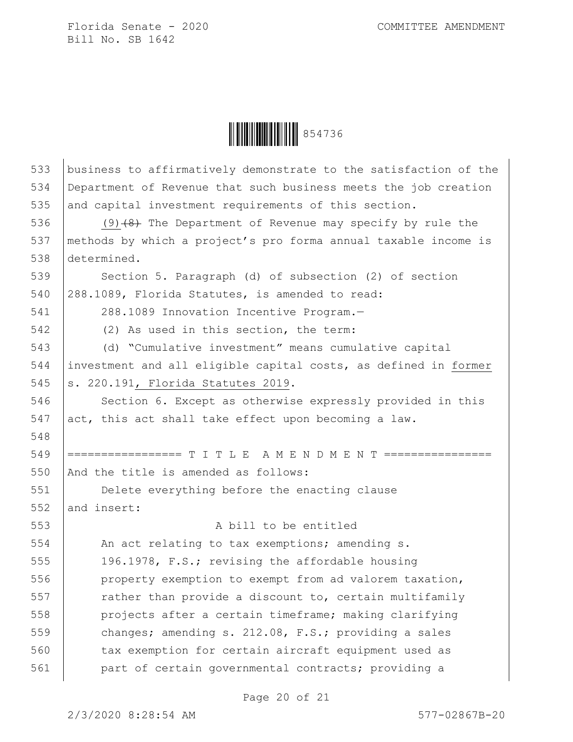

| 533 | business to affirmatively demonstrate to the satisfaction of the |
|-----|------------------------------------------------------------------|
| 534 | Department of Revenue that such business meets the job creation  |
| 535 | and capital investment requirements of this section.             |
| 536 | $(9)$ $(8)$ The Department of Revenue may specify by rule the    |
| 537 | methods by which a project's pro forma annual taxable income is  |
| 538 | determined.                                                      |
| 539 | Section 5. Paragraph (d) of subsection (2) of section            |
| 540 | 288.1089, Florida Statutes, is amended to read:                  |
| 541 | 288.1089 Innovation Incentive Program.-                          |
| 542 | (2) As used in this section, the term:                           |
| 543 | (d) "Cumulative investment" means cumulative capital             |
| 544 | investment and all eligible capital costs, as defined in former  |
| 545 | s. 220.191, Florida Statutes 2019.                               |
| 546 | Section 6. Except as otherwise expressly provided in this        |
| 547 | act, this act shall take effect upon becoming a law.             |
| 548 |                                                                  |
| 549 | ================= T I T L E A M E N D M E N T ======             |
| 550 | And the title is amended as follows:                             |
| 551 | Delete everything before the enacting clause                     |
| 552 | and insert:                                                      |
| 553 | A bill to be entitled                                            |
| 554 | An act relating to tax exemptions; amending s.                   |
| 555 | 196.1978, F.S.; revising the affordable housing                  |
| 556 | property exemption to exempt from ad valorem taxation,           |
| 557 | rather than provide a discount to, certain multifamily           |
| 558 | projects after a certain timeframe; making clarifying            |
| 559 | changes; amending s. 212.08, F.S.; providing a sales             |
| 560 | tax exemption for certain aircraft equipment used as             |
| 561 | part of certain governmental contracts; providing a              |

Page 20 of 21